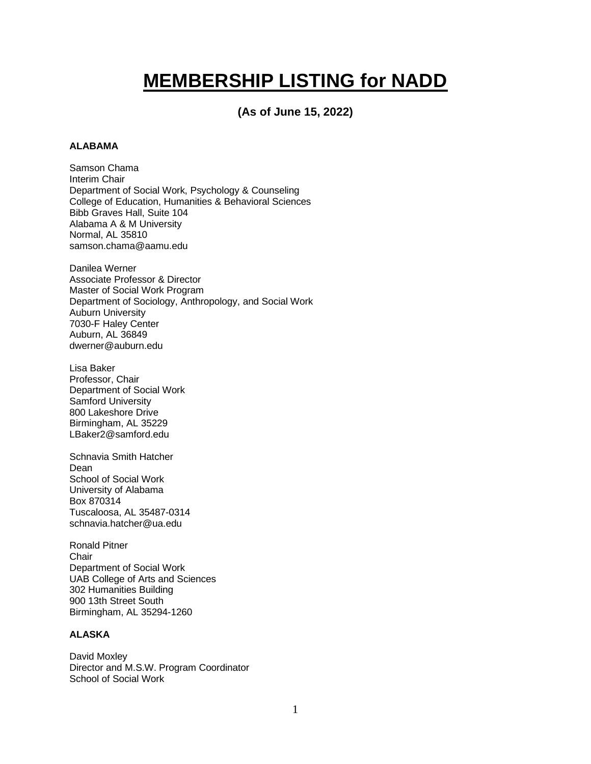# **MEMBERSHIP LISTING for NADD**

## **(As of June 15, 2022)**

## **ALABAMA**

Samson Chama Interim Chair Department of Social Work, Psychology & Counseling College of Education, Humanities & Behavioral Sciences Bibb Graves Hall, Suite 104 Alabama A & M University Normal, AL 35810 samson.chama@aamu.edu

Danilea Werner Associate Professor & Director Master of Social Work Program Department of Sociology, Anthropology, and Social Work Auburn University 7030-F Haley Center Auburn, AL 36849 dwerner@auburn.edu

Lisa Baker Professor, Chair Department of Social Work Samford University 800 Lakeshore Drive Birmingham, AL 35229 LBaker2@samford.edu

Schnavia Smith Hatcher Dean School of Social Work University of Alabama Box 870314 Tuscaloosa, AL 35487-0314 schnavia.hatcher@ua.edu

Ronald Pitner **Chair** Department of Social Work UAB College of Arts and Sciences 302 Humanities Building 900 13th Street South Birmingham, AL 35294-1260

## **ALASKA**

David Moxley Director and M.S.W. Program Coordinator School of Social Work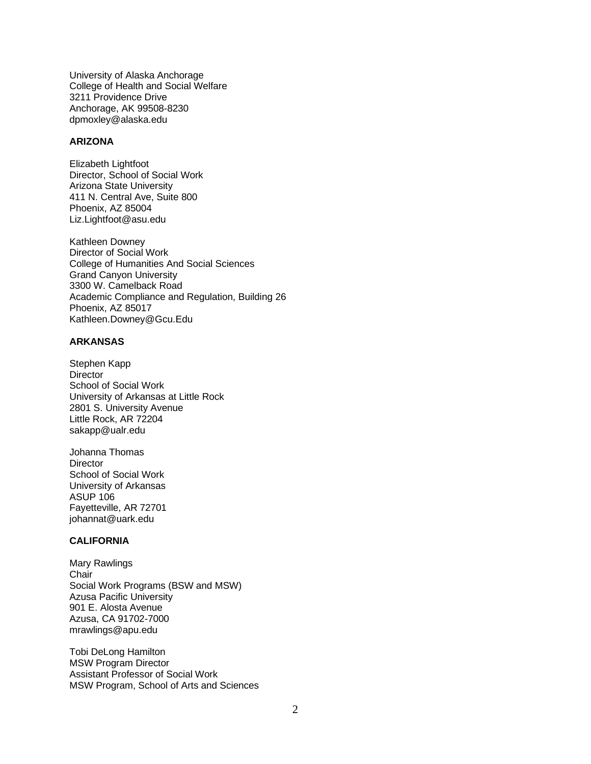University of Alaska Anchorage College of Health and Social Welfare 3211 Providence Drive Anchorage, AK 99508-8230 dpmoxley@alaska.edu

#### **ARIZONA**

Elizabeth Lightfoot Director, School of Social Work Arizona State University 411 N. Central Ave, Suite 800 Phoenix, AZ 85004 Liz.Lightfoot@asu.edu

Kathleen Downey Director of Social Work College of Humanities And Social Sciences Grand Canyon University 3300 W. Camelback Road Academic Compliance and Regulation, Building 26 Phoenix, AZ 85017 Kathleen.Downey@Gcu.Edu

## **ARKANSAS**

Stephen Kapp **Director** School of Social Work University of Arkansas at Little Rock 2801 S. University Avenue Little Rock, AR 72204 sakapp@ualr.edu

Johanna Thomas **Director** School of Social Work University of Arkansas ASUP 106 Fayetteville, AR 72701 johannat@uark.edu

## **CALIFORNIA**

Mary Rawlings Chair Social Work Programs (BSW and MSW) Azusa Pacific University 901 E. Alosta Avenue Azusa, CA 91702-7000 mrawlings@apu.edu

Tobi DeLong Hamilton MSW Program Director Assistant Professor of Social Work MSW Program, School of Arts and Sciences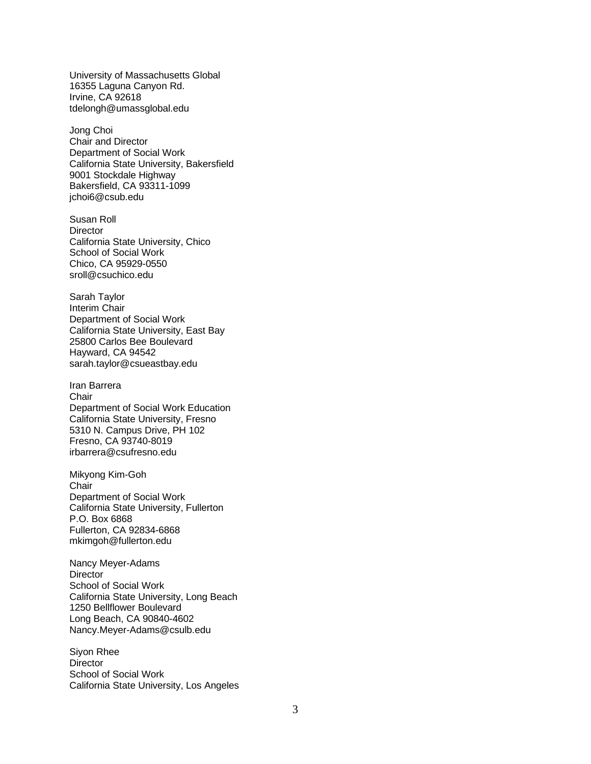University of Massachusetts Global 16355 Laguna Canyon Rd. Irvine, CA 92618 tdelongh@umassglobal.edu

Jong Choi Chair and Director Department of Social Work California State University, Bakersfield 9001 Stockdale Highway Bakersfield, CA 93311-1099 jchoi6@csub.edu

Susan Roll **Director** California State University, Chico School of Social Work Chico, CA 95929-0550 sroll@csuchico.edu

Sarah Taylor Interim Chair Department of Social Work California State University, East Bay 25800 Carlos Bee Boulevard Hayward, CA 94542 sarah.taylor@csueastbay.edu

Iran Barrera **Chair** Department of Social Work Education California State University, Fresno 5310 N. Campus Drive, PH 102 Fresno, CA 93740-8019 irbarrera@csufresno.edu

Mikyong Kim-Goh **Chair** Department of Social Work California State University, Fullerton P.O. Box 6868 Fullerton, CA 92834-6868 mkimgoh@fullerton.edu

Nancy Meyer-Adams **Director** School of Social Work California State University, Long Beach 1250 Bellflower Boulevard Long Beach, CA 90840-4602 Nancy.Meyer-Adams@csulb.edu

Siyon Rhee **Director** School of Social Work California State University, Los Angeles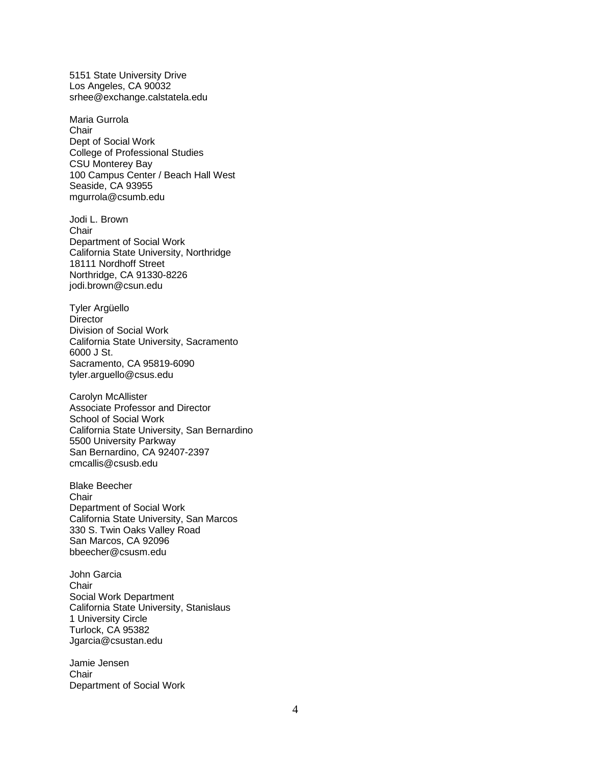5151 State University Drive Los Angeles, CA 90032 srhee@exchange.calstatela.edu

Maria Gurrola **Chair** Dept of Social Work College of Professional Studies CSU Monterey Bay 100 Campus Center / Beach Hall West Seaside, CA 93955 mgurrola@csumb.edu

Jodi L. Brown Chair Department of Social Work California State University, Northridge 18111 Nordhoff Street Northridge, CA 91330-8226 jodi.brown@csun.edu

Tyler Argüello **Director** Division of Social Work California State University, Sacramento 6000 J St. Sacramento, CA 95819-6090 tyler.arguello@csus.edu

Carolyn McAllister Associate Professor and Director School of Social Work California State University, San Bernardino 5500 University Parkway San Bernardino, CA 92407-2397 cmcallis@csusb.edu

Blake Beecher Chair Department of Social Work California State University, San Marcos 330 S. Twin Oaks Valley Road San Marcos, CA 92096 bbeecher@csusm.edu

John Garcia **Chair** Social Work Department California State University, Stanislaus 1 University Circle Turlock, CA 95382 Jgarcia@csustan.edu

Jamie Jensen **Chair** Department of Social Work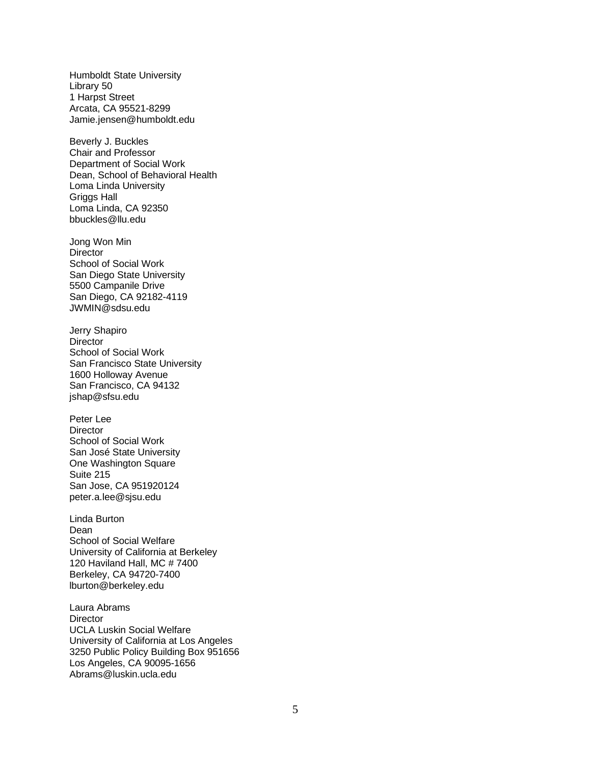Humboldt State University Library 50 1 Harpst Street Arcata, CA 95521-8299 Jamie.jensen@humboldt.edu

Beverly J. Buckles Chair and Professor Department of Social Work Dean, School of Behavioral Health Loma Linda University Griggs Hall Loma Linda, CA 92350 bbuckles@llu.edu

Jong Won Min **Director** School of Social Work San Diego State University 5500 Campanile Drive San Diego, CA 92182-4119 JWMIN@sdsu.edu

Jerry Shapiro **Director** School of Social Work San Francisco State University 1600 Holloway Avenue San Francisco, CA 94132 jshap@sfsu.edu

Peter Lee **Director** School of Social Work San José State University One Washington Square Suite 215 San Jose, CA 951920124 peter.a.lee@sjsu.edu

Linda Burton Dean School of Social Welfare University of California at Berkeley 120 Haviland Hall, MC # 7400 Berkeley, CA 94720-7400 lburton@berkeley.edu

Laura Abrams **Director** UCLA Luskin Social Welfare University of California at Los Angeles 3250 Public Policy Building Box 951656 Los Angeles, CA 90095-1656 Abrams@luskin.ucla.edu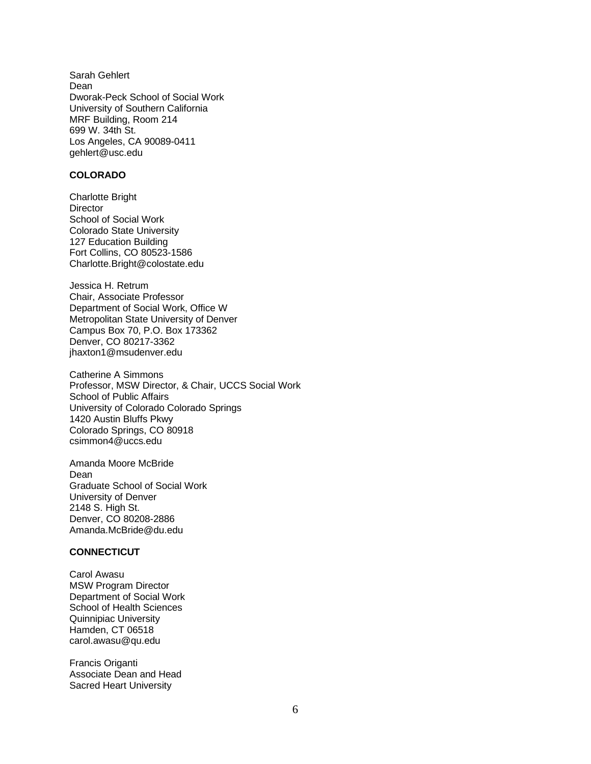Sarah Gehlert Dean Dworak-Peck School of Social Work University of Southern California MRF Building, Room 214 699 W. 34th St. Los Angeles, CA 90089-0411 gehlert@usc.edu

## **COLORADO**

Charlotte Bright **Director** School of Social Work Colorado State University 127 Education Building Fort Collins, CO 80523-1586 Charlotte.Bright@colostate.edu

Jessica H. Retrum Chair, Associate Professor Department of Social Work, Office W Metropolitan State University of Denver Campus Box 70, P.O. Box 173362 Denver, CO 80217-3362 jhaxton1@msudenver.edu

Catherine A Simmons Professor, MSW Director, & Chair, UCCS Social Work School of Public Affairs University of Colorado Colorado Springs 1420 Austin Bluffs Pkwy Colorado Springs, CO 80918 csimmon4@uccs.edu

Amanda Moore McBride Dean Graduate School of Social Work University of Denver 2148 S. High St. Denver, CO 80208-2886 Amanda.McBride@du.edu

## **CONNECTICUT**

Carol Awasu MSW Program Director Department of Social Work School of Health Sciences Quinnipiac University Hamden, CT 06518 carol.awasu@qu.edu

Francis Origanti Associate Dean and Head Sacred Heart University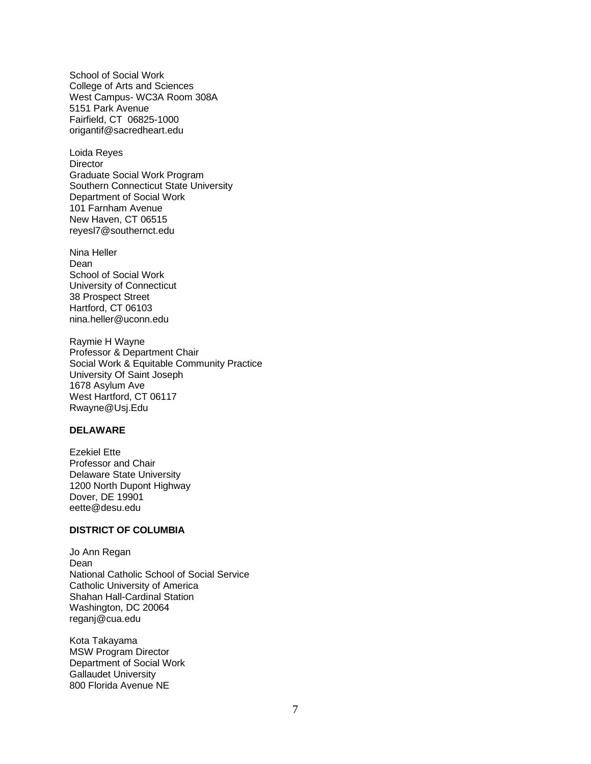School of Social Work College of Arts and Sciences West Campus- WC3A Room 308A 5151 Park Avenue Fairfield, CT 06825-1000 origantif@sacredheart.edu

Loida Reyes **Director** Graduate Social Work Program Southern Connecticut State University Department of Social Work 101 Farnham Avenue New Haven, CT 06515 reyesl7@southernct.edu

Nina Heller Dean School of Social Work University of Connecticut 38 Prospect Street Hartford, CT 06103 nina.heller@uconn.edu

Raymie H Wayne Professor & Department Chair Social Work & Equitable Community Practice University Of Saint Joseph 1678 Asylum Ave West Hartford, CT 06117 Rwayne@Usj.Edu

## **DELAWARE**

Ezekiel Ette Professor and Chair Delaware State University 1200 North Dupont Highway Dover, DE 19901 eette@desu.edu

#### **DISTRICT OF COLUMBIA**

Jo Ann Regan Dean National Catholic School of Social Service Catholic University of America Shahan Hall-Cardinal Station Washington, DC 20064 reganj@cua.edu

Kota Takayama MSW Program Director Department of Social Work Gallaudet University 800 Florida Avenue NE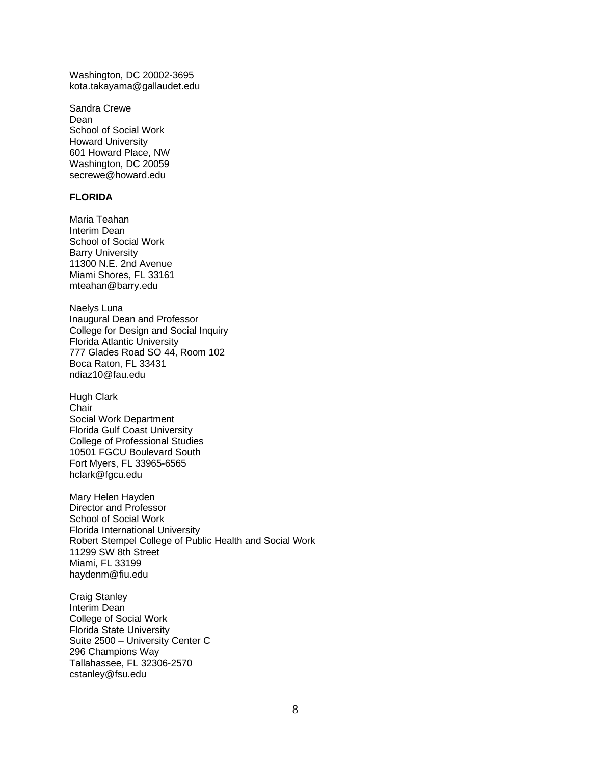Washington, DC 20002-3695 kota.takayama@gallaudet.edu

Sandra Crewe Dean School of Social Work Howard University 601 Howard Place, NW Washington, DC 20059 secrewe@howard.edu

## **FLORIDA**

Maria Teahan Interim Dean School of Social Work Barry University 11300 N.E. 2nd Avenue Miami Shores, FL 33161 mteahan@barry.edu

Naelys Luna Inaugural Dean and Professor College for Design and Social Inquiry Florida Atlantic University 777 Glades Road SO 44, Room 102 Boca Raton, FL 33431 ndiaz10@fau.edu

Hugh Clark **Chair** Social Work Department Florida Gulf Coast University College of Professional Studies 10501 FGCU Boulevard South Fort Myers, FL 33965-6565 hclark@fgcu.edu

Mary Helen Hayden Director and Professor School of Social Work Florida International University Robert Stempel College of Public Health and Social Work 11299 SW 8th Street Miami, FL 33199 haydenm@fiu.edu

Craig Stanley Interim Dean College of Social Work Florida State University Suite 2500 – University Center C 296 Champions Way Tallahassee, FL 32306-2570 cstanley@fsu.edu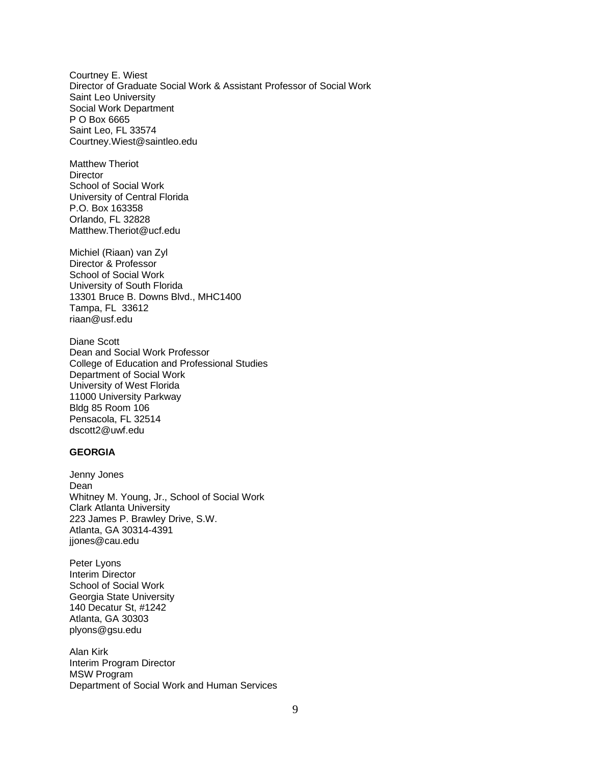Courtney E. Wiest Director of Graduate Social Work & Assistant Professor of Social Work Saint Leo University Social Work Department P O Box 6665 Saint Leo, FL 33574 Courtney.Wiest@saintleo.edu

Matthew Theriot **Director** School of Social Work University of Central Florida P.O. Box 163358 Orlando, FL 32828 Matthew.Theriot@ucf.edu

Michiel (Riaan) van Zyl Director & Professor School of Social Work University of South Florida 13301 Bruce B. Downs Blvd., MHC1400 Tampa, FL 33612 riaan@usf.edu

Diane Scott Dean and Social Work Professor College of Education and Professional Studies Department of Social Work University of West Florida 11000 University Parkway Bldg 85 Room 106 Pensacola, FL 32514 dscott2@uwf.edu

#### **GEORGIA**

Jenny Jones Dean Whitney M. Young, Jr., School of Social Work Clark Atlanta University 223 James P. Brawley Drive, S.W. Atlanta, GA 30314-4391 jjones@cau.edu

Peter Lyons Interim Director School of Social Work Georgia State University 140 Decatur St, #1242 Atlanta, GA 30303 plyons@gsu.edu

Alan Kirk Interim Program Director MSW Program Department of Social Work and Human Services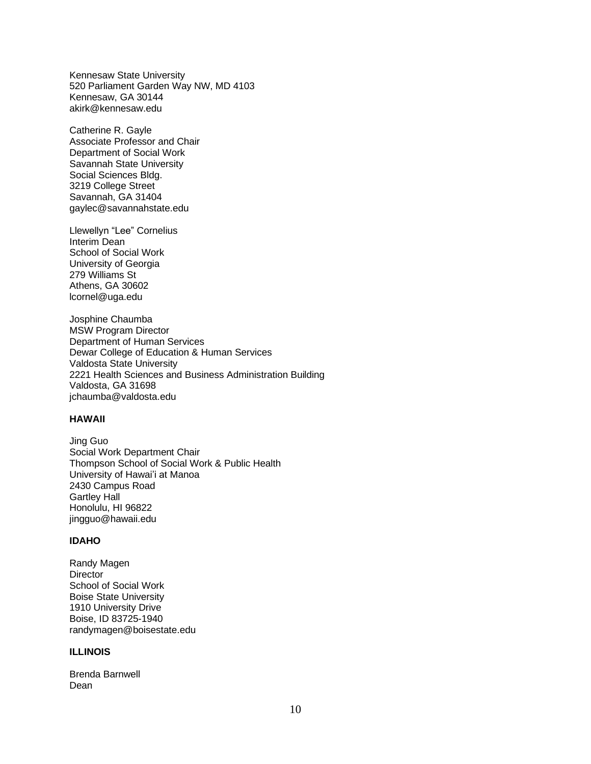Kennesaw State University 520 Parliament Garden Way NW, MD 4103 Kennesaw, GA 30144 akirk@kennesaw.edu

Catherine R. Gayle Associate Professor and Chair Department of Social Work Savannah State University Social Sciences Bldg. 3219 College Street Savannah, GA 31404 gaylec@savannahstate.edu

Llewellyn "Lee" Cornelius Interim Dean School of Social Work University of Georgia 279 Williams St Athens, GA 30602 lcornel@uga.edu

Josphine Chaumba MSW Program Director Department of Human Services Dewar College of Education & Human Services Valdosta State University 2221 Health Sciences and Business Administration Building Valdosta, GA 31698 jchaumba@valdosta.edu

## **HAWAII**

Jing Guo Social Work Department Chair Thompson School of Social Work & Public Health University of Hawai'i at Manoa 2430 Campus Road Gartley Hall Honolulu, HI 96822 jingguo@hawaii.edu

## **IDAHO**

Randy Magen **Director** School of Social Work Boise State University 1910 University Drive Boise, ID 83725-1940 randymagen@boisestate.edu

## **ILLINOIS**

Brenda Barnwell Dean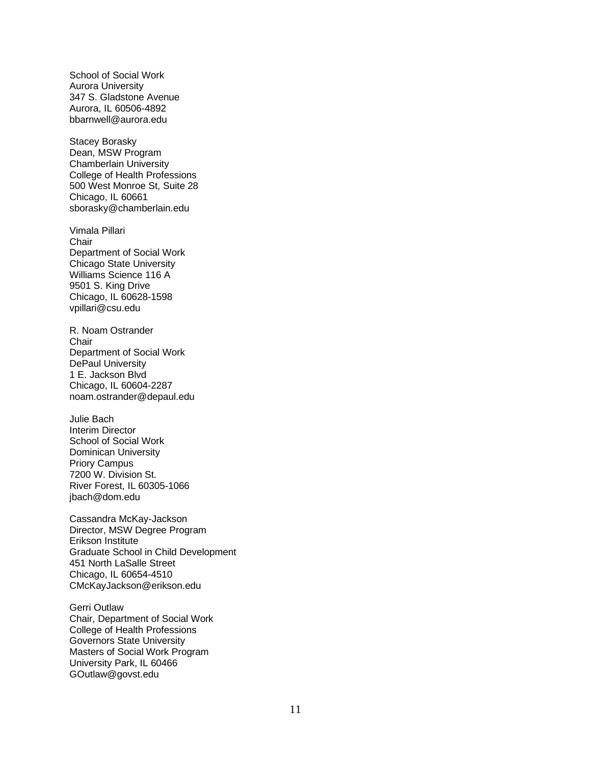School of Social Work Aurora University 347 S. Gladstone Avenue Aurora, IL 60506-4892 bbarnwell@aurora.edu

Stacey Borasky Dean, MSW Program Chamberlain University College of Health Professions 500 West Monroe St, Suite 28 Chicago, IL 60661 sborasky@chamberlain.edu

Vimala Pillari **Chair** Department of Social Work Chicago State University Williams Science 116 A 9501 S. King Drive Chicago, IL 60628-1598 vpillari@csu.edu

R. Noam Ostrander **Chair** Department of Social Work DePaul University 1 E. Jackson Blvd Chicago, IL 60604-2287 noam.ostrander@depaul.edu

Julie Bach Interim Director School of Social Work Dominican University Priory Campus 7200 W. Division St. River Forest, IL 60305-1066 jbach@dom.edu

Cassandra McKay-Jackson Director, MSW Degree Program Erikson Institute Graduate School in Child Development 451 North LaSalle Street Chicago, IL 60654-4510 CMcKayJackson@erikson.edu

Gerri Outlaw Chair, Department of Social Work College of Health Professions Governors State University Masters of Social Work Program University Park, IL 60466 GOutlaw@govst.edu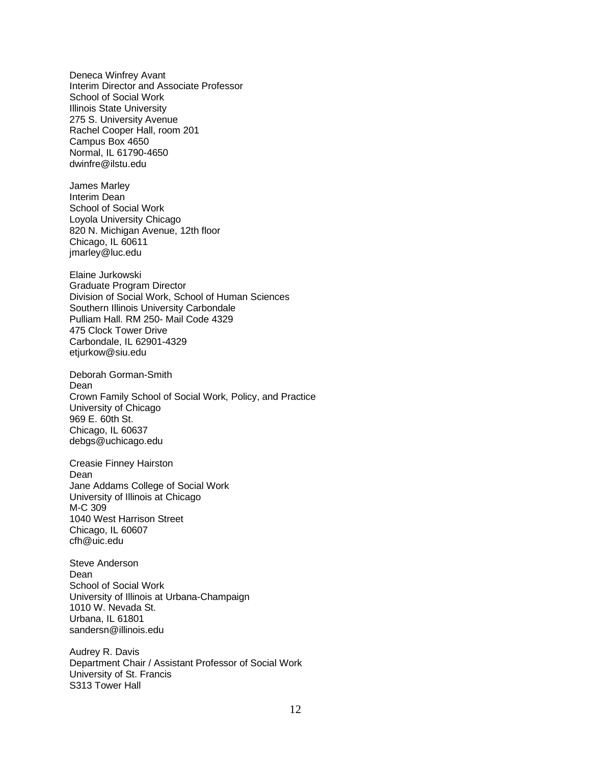Deneca Winfrey Avant Interim Director and Associate Professor School of Social Work Illinois State University 275 S. University Avenue Rachel Cooper Hall, room 201 Campus Box 4650 Normal, IL 61790-4650 dwinfre@ilstu.edu

James Marley Interim Dean School of Social Work Loyola University Chicago 820 N. Michigan Avenue, 12th floor Chicago, IL 60611 jmarley@luc.edu

Elaine Jurkowski Graduate Program Director Division of Social Work, School of Human Sciences Southern Illinois University Carbondale Pulliam Hall. RM 250- Mail Code 4329 475 Clock Tower Drive Carbondale, IL 62901-4329 etjurkow@siu.edu

Deborah Gorman-Smith Dean Crown Family School of Social Work, Policy, and Practice University of Chicago 969 E. 60th St. Chicago, IL 60637 debgs@uchicago.edu

Creasie Finney Hairston Dean Jane Addams College of Social Work University of Illinois at Chicago M-C 309 1040 West Harrison Street Chicago, IL 60607 cfh@uic.edu

Steve Anderson Dean School of Social Work University of Illinois at Urbana-Champaign 1010 W. Nevada St. Urbana, IL 61801 sandersn@illinois.edu

Audrey R. Davis Department Chair / Assistant Professor of Social Work University of St. Francis S313 Tower Hall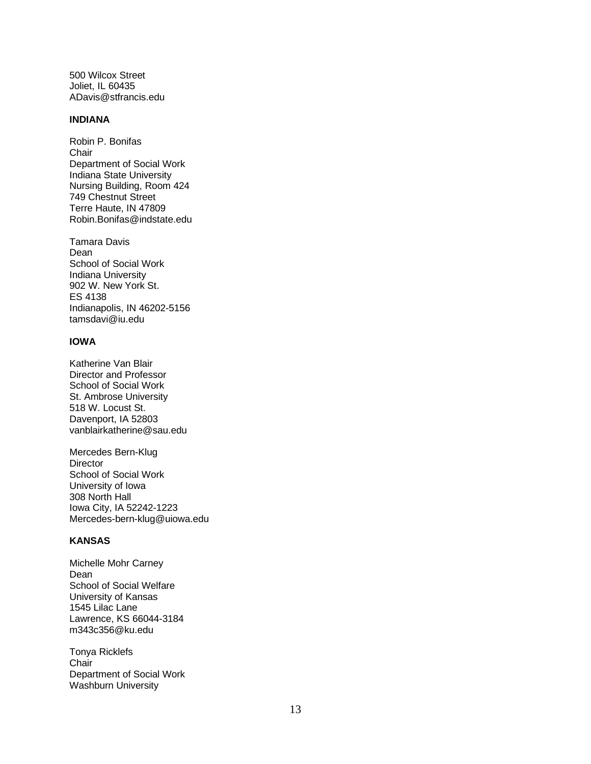500 Wilcox Street Joliet, IL 60435 ADavis@stfrancis.edu

#### **INDIANA**

Robin P. Bonifas **Chair** Department of Social Work Indiana State University Nursing Building, Room 424 749 Chestnut Street Terre Haute, IN 47809 Robin.Bonifas@indstate.edu

Tamara Davis Dean School of Social Work Indiana University 902 W. New York St. ES 4138 Indianapolis, IN 46202-5156 tamsdavi@iu.edu

## **IOWA**

Katherine Van Blair Director and Professor School of Social Work St. Ambrose University 518 W. Locust St. Davenport, IA 52803 vanblairkatherine@sau.edu

Mercedes Bern-Klug **Director** School of Social Work University of Iowa 308 North Hall Iowa City, IA 52242-1223 Mercedes-bern-klug@uiowa.edu

## **KANSAS**

Michelle Mohr Carney Dean School of Social Welfare University of Kansas 1545 Lilac Lane Lawrence, KS 66044-3184 m343c356@ku.edu

Tonya Ricklefs Chair Department of Social Work Washburn University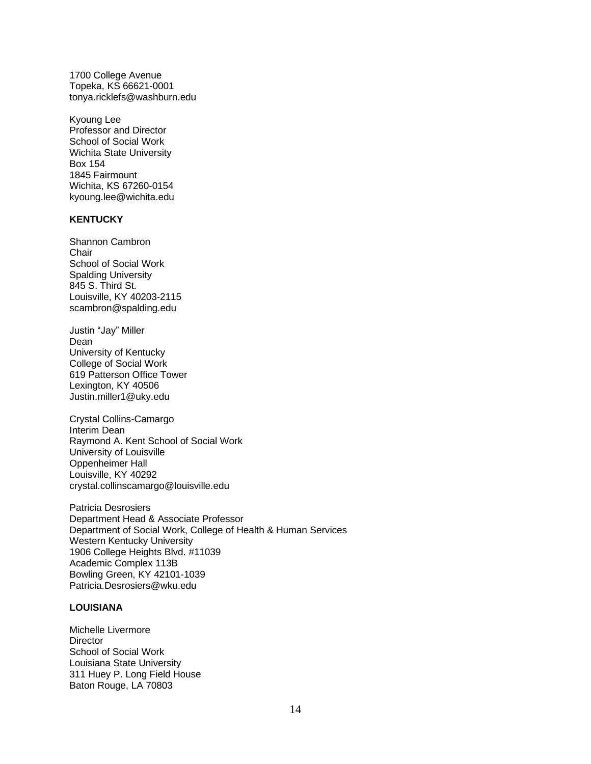1700 College Avenue Topeka, KS 66621-0001 tonya.ricklefs@washburn.edu

Kyoung Lee Professor and Director School of Social Work Wichita State University Box 154 1845 Fairmount Wichita, KS 67260-0154 kyoung.lee@wichita.edu

## **KENTUCKY**

Shannon Cambron **Chair** School of Social Work Spalding University 845 S. Third St. Louisville, KY 40203-2115 scambron@spalding.edu

Justin "Jay" Miller Dean University of Kentucky College of Social Work 619 Patterson Office Tower Lexington, KY 40506 Justin.miller1@uky.edu

Crystal Collins-Camargo Interim Dean Raymond A. Kent School of Social Work University of Louisville Oppenheimer Hall Louisville, KY 40292 crystal.collinscamargo@louisville.edu

Patricia Desrosiers Department Head & Associate Professor Department of Social Work, College of Health & Human Services Western Kentucky University 1906 College Heights Blvd. #11039 Academic Complex 113B Bowling Green, KY 42101-1039 Patricia.Desrosiers@wku.edu

#### **LOUISIANA**

Michelle Livermore **Director** School of Social Work Louisiana State University 311 Huey P. Long Field House Baton Rouge, LA 70803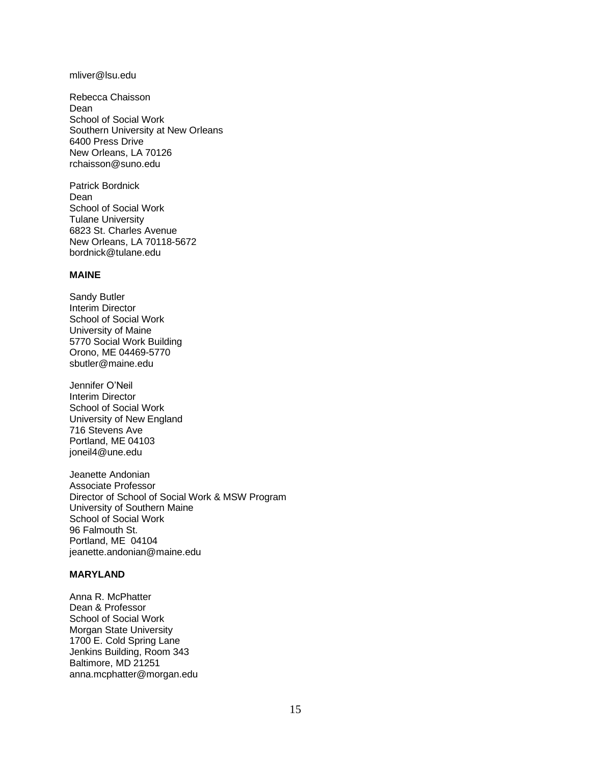#### mliver@lsu.edu

Rebecca Chaisson Dean School of Social Work Southern University at New Orleans 6400 Press Drive New Orleans, LA 70126 rchaisson@suno.edu

Patrick Bordnick Dean School of Social Work Tulane University 6823 St. Charles Avenue New Orleans, LA 70118-5672 bordnick@tulane.edu

#### **MAINE**

Sandy Butler Interim Director School of Social Work University of Maine 5770 Social Work Building Orono, ME 04469-5770 sbutler@maine.edu

Jennifer O'Neil Interim Director School of Social Work University of New England 716 Stevens Ave Portland, ME 04103 joneil4@une.edu

Jeanette Andonian Associate Professor Director of School of Social Work & MSW Program University of Southern Maine School of Social Work 96 Falmouth St. Portland, ME 04104 jeanette.andonian@maine.edu

## **MARYLAND**

Anna R. McPhatter Dean & Professor School of Social Work Morgan State University 1700 E. Cold Spring Lane Jenkins Building, Room 343 Baltimore, MD 21251 anna.mcphatter@morgan.edu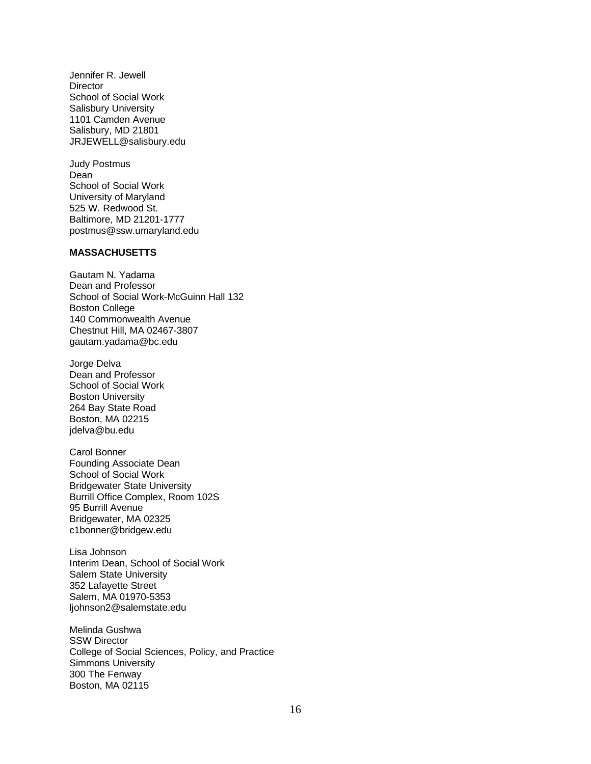Jennifer R. Jewell **Director** School of Social Work Salisbury University 1101 Camden Avenue Salisbury, MD 21801 JRJEWELL@salisbury.edu

Judy Postmus Dean School of Social Work University of Maryland 525 W. Redwood St. Baltimore, MD 21201-1777 postmus@ssw.umaryland.edu

#### **MASSACHUSETTS**

Gautam N. Yadama Dean and Professor School of Social Work-McGuinn Hall 132 Boston College 140 Commonwealth Avenue Chestnut Hill, MA 02467-3807 gautam.yadama@bc.edu

Jorge Delva Dean and Professor School of Social Work Boston University 264 Bay State Road Boston, MA 02215 jdelva@bu.edu

Carol Bonner Founding Associate Dean School of Social Work Bridgewater State University Burrill Office Complex, Room 102S 95 Burrill Avenue Bridgewater, MA 02325 c1bonner@bridgew.edu

Lisa Johnson Interim Dean, School of Social Work Salem State University 352 Lafayette Street Salem, MA 01970-5353 ljohnson2@salemstate.edu

Melinda Gushwa SSW Director College of Social Sciences, Policy, and Practice Simmons University 300 The Fenway Boston, MA 02115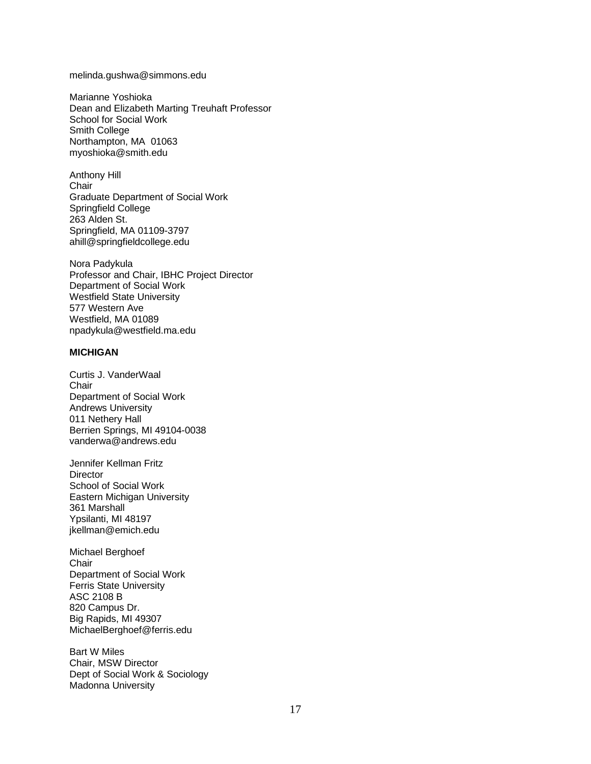#### melinda.gushwa@simmons.edu

Marianne Yoshioka Dean and Elizabeth Marting Treuhaft Professor School for Social Work Smith College Northampton, MA 01063 myoshioka@smith.edu

Anthony Hill **Chair** Graduate Department of Social Work Springfield College 263 Alden St. Springfield, MA 01109-3797 ahill@springfieldcollege.edu

Nora Padykula Professor and Chair, IBHC Project Director Department of Social Work Westfield State University 577 Western Ave Westfield, MA 01089 npadykula@westfield.ma.edu

## **MICHIGAN**

Curtis J. VanderWaal **Chair** Department of Social Work Andrews University 011 Nethery Hall Berrien Springs, MI 49104-0038 vanderwa@andrews.edu

Jennifer Kellman Fritz **Director** School of Social Work Eastern Michigan University 361 Marshall Ypsilanti, MI 48197 jkellman@emich.edu

Michael Berghoef **Chair** Department of Social Work Ferris State University ASC 2108 B 820 Campus Dr. Big Rapids, MI 49307 MichaelBerghoef@ferris.edu

Bart W Miles Chair, MSW Director Dept of Social Work & Sociology Madonna University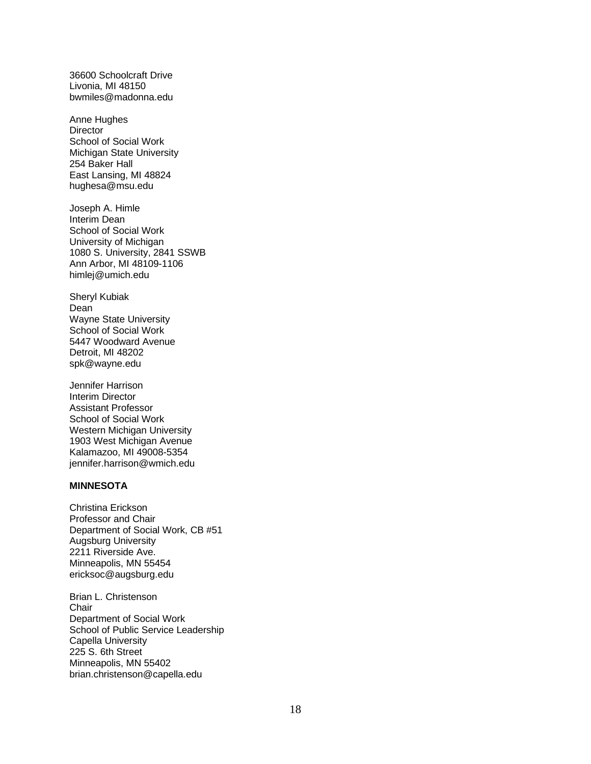36600 Schoolcraft Drive Livonia, MI 48150 bwmiles@madonna.edu

Anne Hughes **Director** School of Social Work Michigan State University 254 Baker Hall East Lansing, MI 48824 hughesa@msu.edu

Joseph A. Himle Interim Dean School of Social Work University of Michigan 1080 S. University, 2841 SSWB Ann Arbor, MI 48109-1106 himlej@umich.edu

Sheryl Kubiak Dean Wayne State University School of Social Work 5447 Woodward Avenue Detroit, MI 48202 spk@wayne.edu

Jennifer Harrison Interim Director Assistant Professor School of Social Work Western Michigan University 1903 West Michigan Avenue Kalamazoo, MI 49008-5354 jennifer.harrison@wmich.edu

## **MINNESOTA**

Christina Erickson Professor and Chair Department of Social Work, CB #51 Augsburg University 2211 Riverside Ave. Minneapolis, MN 55454 ericksoc@augsburg.edu

Brian L. Christenson **Chair** Department of Social Work School of Public Service Leadership Capella University 225 S. 6th Street Minneapolis, MN 55402 brian.christenson@capella.edu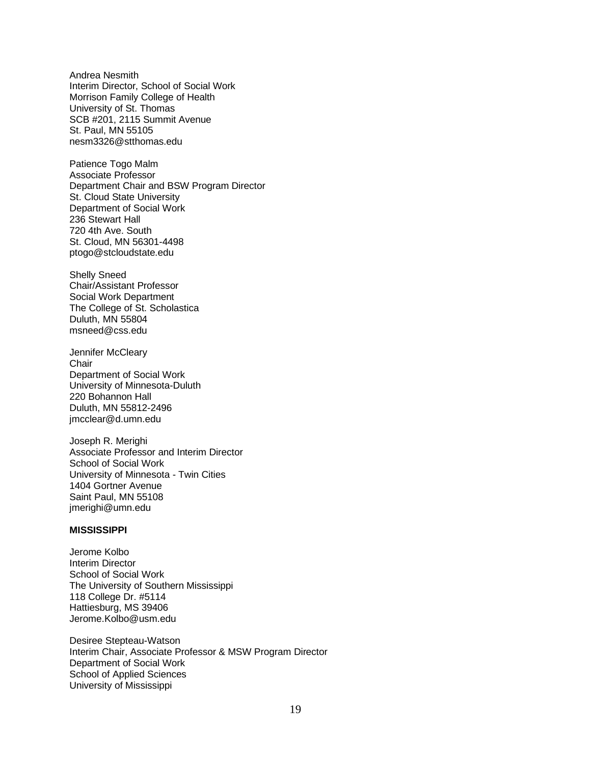Andrea Nesmith Interim Director, School of Social Work Morrison Family College of Health University of St. Thomas SCB #201, 2115 Summit Avenue St. Paul, MN 55105 nesm3326@stthomas.edu

Patience Togo Malm Associate Professor Department Chair and BSW Program Director St. Cloud State University Department of Social Work 236 Stewart Hall 720 4th Ave. South St. Cloud, MN 56301-4498 ptogo@stcloudstate.edu

Shelly Sneed Chair/Assistant Professor Social Work Department The College of St. Scholastica Duluth, MN 55804 msneed@css.edu

Jennifer McCleary **Chair** Department of Social Work University of Minnesota-Duluth 220 Bohannon Hall Duluth, MN 55812-2496 jmcclear@d.umn.edu

Joseph R. Merighi Associate Professor and Interim Director School of Social Work University of Minnesota - Twin Cities 1404 Gortner Avenue Saint Paul, MN 55108 jmerighi@umn.edu

#### **MISSISSIPPI**

Jerome Kolbo Interim Director School of Social Work The University of Southern Mississippi 118 College Dr. #5114 Hattiesburg, MS 39406 Jerome.Kolbo@usm.edu

Desiree Stepteau-Watson Interim Chair, Associate Professor & MSW Program Director Department of Social Work School of Applied Sciences University of Mississippi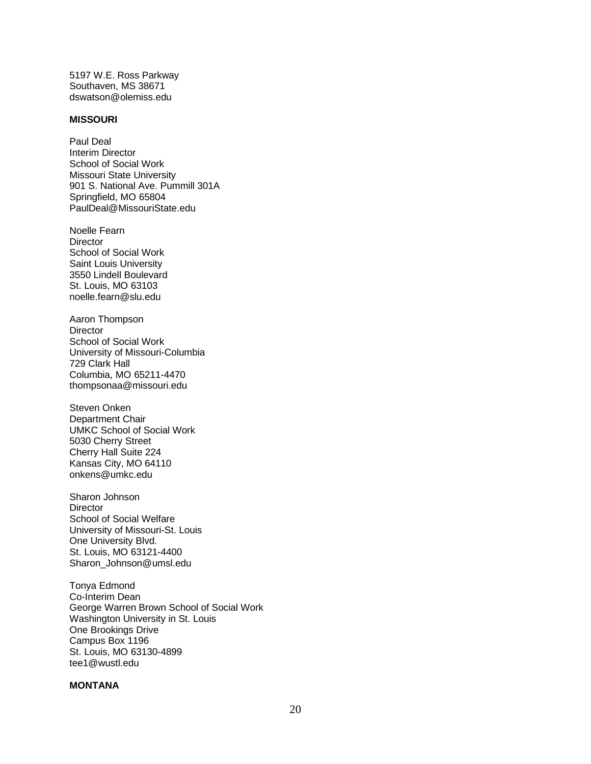5197 W.E. Ross Parkway Southaven, MS 38671 dswatson@olemiss.edu

#### **MISSOURI**

Paul Deal Interim Director School of Social Work Missouri State University 901 S. National Ave. Pummill 301A Springfield, MO 65804 PaulDeal@MissouriState.edu

Noelle Fearn **Director** School of Social Work Saint Louis University 3550 Lindell Boulevard St. Louis, MO 63103 noelle.fearn@slu.edu

Aaron Thompson **Director** School of Social Work University of Missouri-Columbia 729 Clark Hall Columbia, MO 65211-4470 thompsonaa@missouri.edu

Steven Onken Department Chair UMKC School of Social Work 5030 Cherry Street Cherry Hall Suite 224 Kansas City, MO 64110 onkens@umkc.edu

Sharon Johnson **Director** School of Social Welfare University of Missouri-St. Louis One University Blvd. St. Louis, MO 63121-4400 Sharon\_Johnson@umsl.edu

Tonya Edmond Co-Interim Dean George Warren Brown School of Social Work Washington University in St. Louis One Brookings Drive Campus Box 1196 St. Louis, MO 63130-4899 tee1@wustl.edu

## **MONTANA**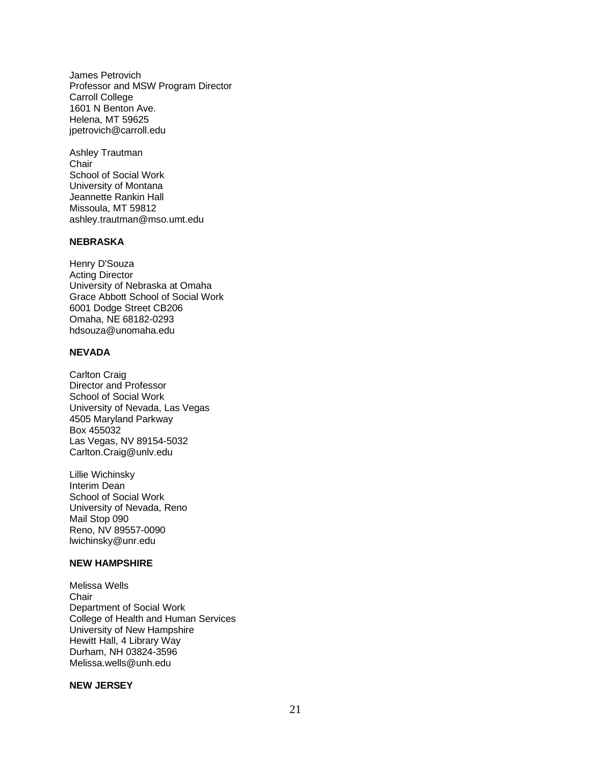James Petrovich Professor and MSW Program Director Carroll College 1601 N Benton Ave. Helena, MT 59625 jpetrovich@carroll.edu

Ashley Trautman **Chair** School of Social Work University of Montana Jeannette Rankin Hall Missoula, MT 59812 ashley.trautman@mso.umt.edu

#### **NEBRASKA**

Henry D'Souza Acting Director University of Nebraska at Omaha Grace Abbott School of Social Work 6001 Dodge Street CB206 Omaha, NE 68182-0293 hdsouza@unomaha.edu

## **NEVADA**

Carlton Craig Director and Professor School of Social Work University of Nevada, Las Vegas 4505 Maryland Parkway Box 455032 Las Vegas, NV 89154-5032 Carlton.Craig@unlv.edu

Lillie Wichinsky Interim Dean School of Social Work University of Nevada, Reno Mail Stop 090 Reno, NV 89557-0090 lwichinsky@unr.edu

## **NEW HAMPSHIRE**

Melissa Wells Chair Department of Social Work College of Health and Human Services University of New Hampshire Hewitt Hall, 4 Library Way Durham, NH 03824-3596 Melissa.wells@unh.edu

## **NEW JERSEY**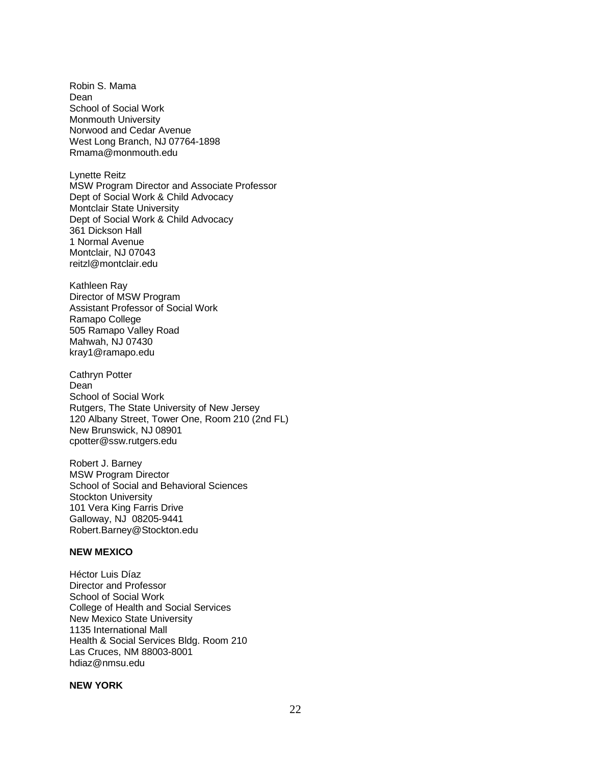Robin S. Mama Dean School of Social Work Monmouth University Norwood and Cedar Avenue West Long Branch, NJ 07764-1898 Rmama@monmouth.edu

Lynette Reitz MSW Program Director and Associate Professor Dept of Social Work & Child Advocacy Montclair State University Dept of Social Work & Child Advocacy 361 Dickson Hall 1 Normal Avenue Montclair, NJ 07043 reitzl@montclair.edu

Kathleen Ray Director of MSW Program Assistant Professor of Social Work Ramapo College 505 Ramapo Valley Road Mahwah, NJ 07430 kray1@ramapo.edu

Cathryn Potter Dean School of Social Work Rutgers, The State University of New Jersey 120 Albany Street, Tower One, Room 210 (2nd FL) New Brunswick, NJ 08901 cpotter@ssw.rutgers.edu

Robert J. Barney MSW Program Director School of Social and Behavioral Sciences Stockton University 101 Vera King Farris Drive Galloway, NJ 08205-9441 Robert.Barney@Stockton.edu

## **NEW MEXICO**

Héctor Luis Díaz Director and Professor School of Social Work College of Health and Social Services New Mexico State University 1135 International Mall Health & Social Services Bldg. Room 210 Las Cruces, NM 88003-8001 hdiaz@nmsu.edu

## **NEW YORK**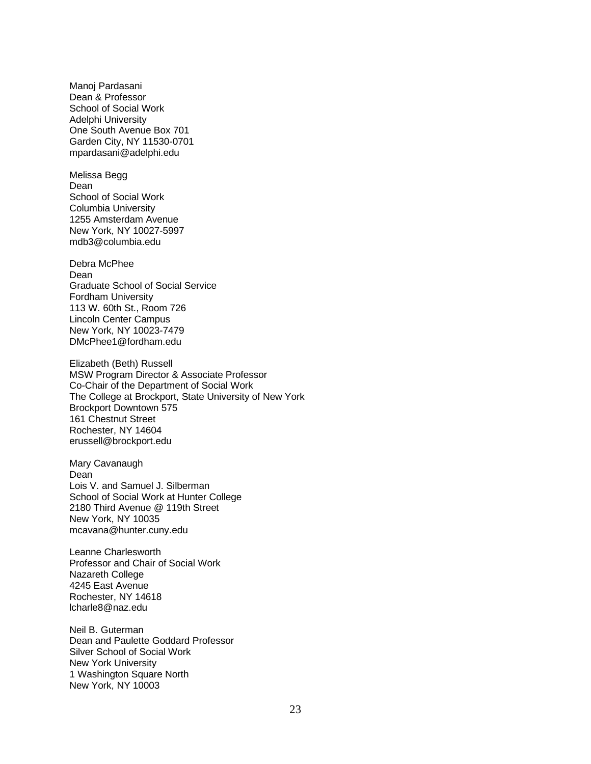Manoj Pardasani Dean & Professor School of Social Work Adelphi University One South Avenue Box 701 Garden City, NY 11530-0701 mpardasani@adelphi.edu

Melissa Begg Dean School of Social Work Columbia University 1255 Amsterdam Avenue New York, NY 10027-5997 mdb3@columbia.edu

Debra McPhee Dean Graduate School of Social Service Fordham University 113 W. 60th St., Room 726 Lincoln Center Campus New York, NY 10023-7479 DMcPhee1@fordham.edu

Elizabeth (Beth) Russell MSW Program Director & Associate Professor Co-Chair of the Department of Social Work The College at Brockport, State University of New York Brockport Downtown 575 161 Chestnut Street Rochester, NY 14604 erussell@brockport.edu

Mary Cavanaugh Dean Lois V. and Samuel J. Silberman School of Social Work at Hunter College 2180 Third Avenue @ 119th Street New York, NY 10035 mcavana@hunter.cuny.edu

Leanne Charlesworth Professor and Chair of Social Work Nazareth College 4245 East Avenue Rochester, NY 14618 lcharle8@naz.edu

Neil B. Guterman Dean and Paulette Goddard Professor Silver School of Social Work New York University 1 Washington Square North New York, NY 10003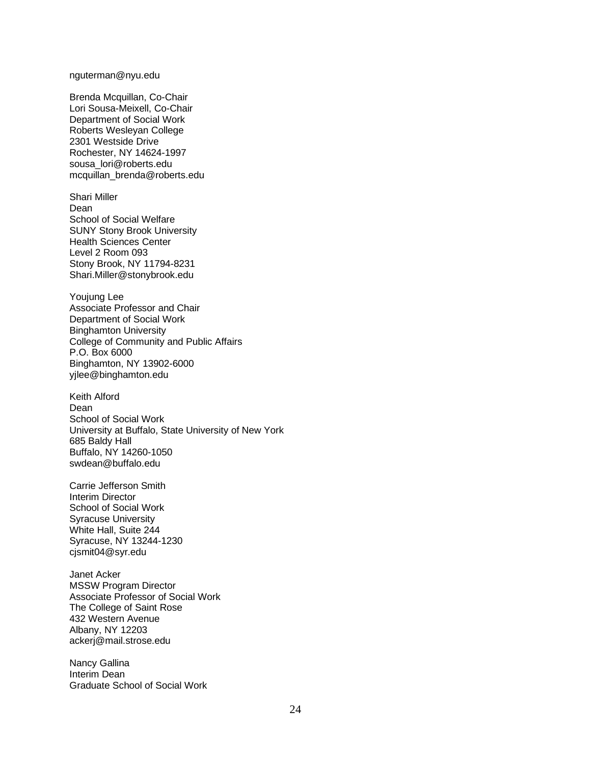nguterman@nyu.edu

Brenda Mcquillan, Co-Chair Lori Sousa-Meixell, Co-Chair Department of Social Work Roberts Wesleyan College 2301 Westside Drive Rochester, NY 14624-1997 sousa\_lori@roberts.edu mcquillan\_brenda@roberts.edu

Shari Miller Dean School of Social Welfare SUNY Stony Brook University Health Sciences Center Level 2 Room 093 Stony Brook, NY 11794-8231 Shari.Miller@stonybrook.edu

Youjung Lee Associate Professor and Chair Department of Social Work Binghamton University College of Community and Public Affairs P.O. Box 6000 Binghamton, NY 13902-6000 yjlee@binghamton.edu

Keith Alford Dean School of Social Work University at Buffalo, State University of New York 685 Baldy Hall Buffalo, NY 14260-1050 swdean@buffalo.edu

Carrie Jefferson Smith Interim Director School of Social Work Syracuse University White Hall, Suite 244 Syracuse, NY 13244-1230 cjsmit04@syr.edu

Janet Acker MSSW Program Director Associate Professor of Social Work The College of Saint Rose 432 Western Avenue Albany, NY 12203 ackerj@mail.strose.edu

Nancy Gallina Interim Dean Graduate School of Social Work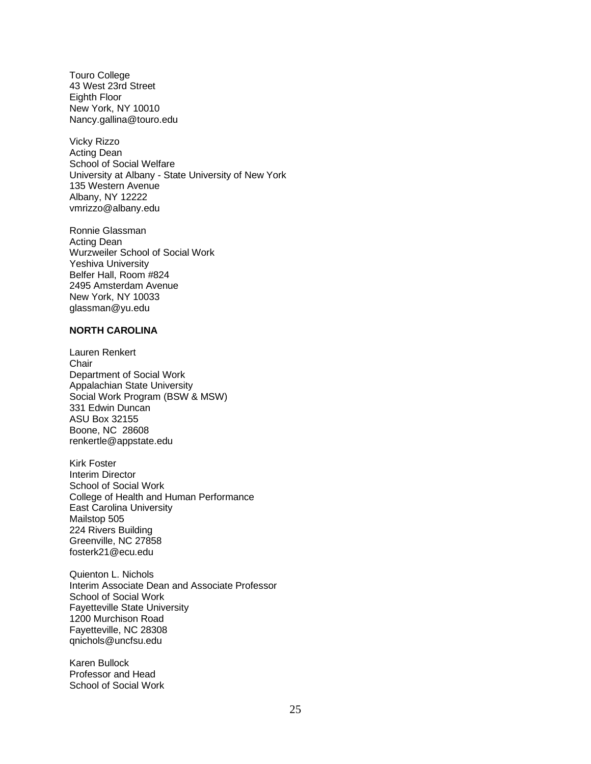Touro College 43 West 23rd Street Eighth Floor New York, NY 10010 Nancy.gallina@touro.edu

Vicky Rizzo Acting Dean School of Social Welfare University at Albany - State University of New York 135 Western Avenue Albany, NY 12222 vmrizzo@albany.edu

Ronnie Glassman Acting Dean Wurzweiler School of Social Work Yeshiva University Belfer Hall, Room #824 2495 Amsterdam Avenue New York, NY 10033 glassman@yu.edu

## **NORTH CAROLINA**

Lauren Renkert **Chair** Department of Social Work Appalachian State University Social Work Program (BSW & MSW) 331 Edwin Duncan ASU Box 32155 Boone, NC 28608 renkertle@appstate.edu

Kirk Foster Interim Director School of Social Work College of Health and Human Performance East Carolina University Mailstop 505 224 Rivers Building Greenville, NC 27858 fosterk21@ecu.edu

Quienton L. Nichols Interim Associate Dean and Associate Professor School of Social Work Fayetteville State University 1200 Murchison Road Fayetteville, NC 28308 qnichols@uncfsu.edu

Karen Bullock Professor and Head School of Social Work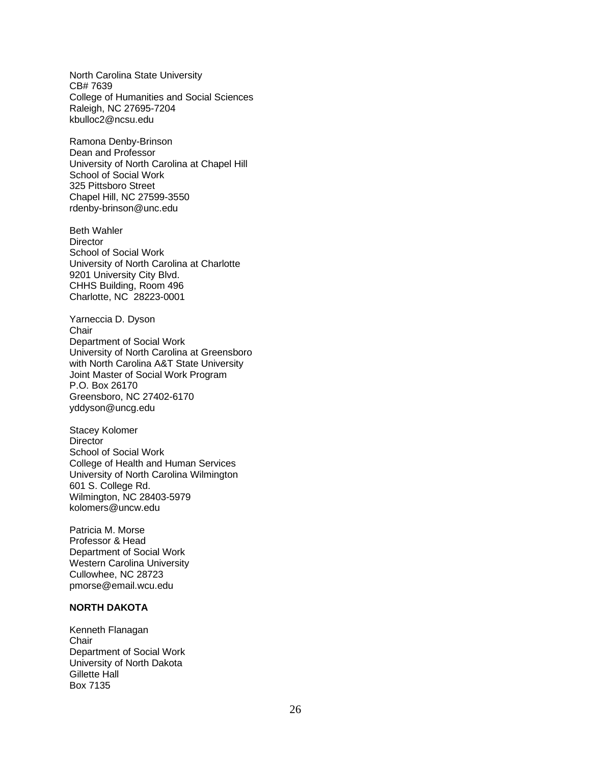North Carolina State University CB# 7639 College of Humanities and Social Sciences Raleigh, NC 27695-7204 kbulloc2@ncsu.edu

Ramona Denby-Brinson Dean and Professor University of North Carolina at Chapel Hill School of Social Work 325 Pittsboro Street Chapel Hill, NC 27599-3550 rdenby-brinson@unc.edu

Beth Wahler **Director** School of Social Work University of North Carolina at Charlotte 9201 University City Blvd. CHHS Building, Room 496 Charlotte, NC 28223-0001

Yarneccia D. Dyson **Chair** Department of Social Work University of North Carolina at Greensboro with North Carolina A&T State University Joint Master of Social Work Program P.O. Box 26170 Greensboro, NC 27402-6170 yddyson@uncg.edu

Stacey Kolomer **Director** School of Social Work College of Health and Human Services University of North Carolina Wilmington 601 S. College Rd. Wilmington, NC 28403-5979 kolomers@uncw.edu

Patricia M. Morse Professor & Head Department of Social Work Western Carolina University Cullowhee, NC 28723 pmorse@email.wcu.edu

## **NORTH DAKOTA**

Kenneth Flanagan **Chair** Department of Social Work University of North Dakota Gillette Hall Box 7135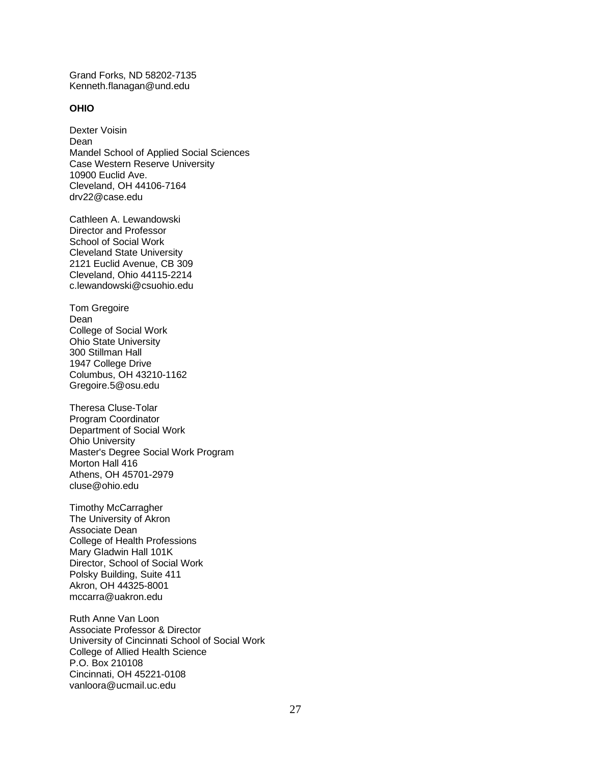Grand Forks, ND 58202-7135 Kenneth.flanagan@und.edu

#### **OHIO**

Dexter Voisin Dean Mandel School of Applied Social Sciences Case Western Reserve University 10900 Euclid Ave. Cleveland, OH 44106-7164 drv22@case.edu

Cathleen A. Lewandowski Director and Professor School of Social Work Cleveland State University 2121 Euclid Avenue, CB 309 Cleveland, Ohio 44115-2214 c.lewandowski@csuohio.edu

Tom Gregoire Dean College of Social Work Ohio State University 300 Stillman Hall 1947 College Drive Columbus, OH 43210-1162 Gregoire.5@osu.edu

Theresa Cluse-Tolar Program Coordinator Department of Social Work Ohio University Master's Degree Social Work Program Morton Hall 416 Athens, OH 45701-2979 cluse@ohio.edu

Timothy McCarragher The University of Akron Associate Dean College of Health Professions Mary Gladwin Hall 101K Director, School of Social Work Polsky Building, Suite 411 Akron, OH 44325-8001 mccarra@uakron.edu

Ruth Anne Van Loon Associate Professor & Director University of Cincinnati School of Social Work College of Allied Health Science P.O. Box 210108 Cincinnati, OH 45221-0108 vanloora@ucmail.uc.edu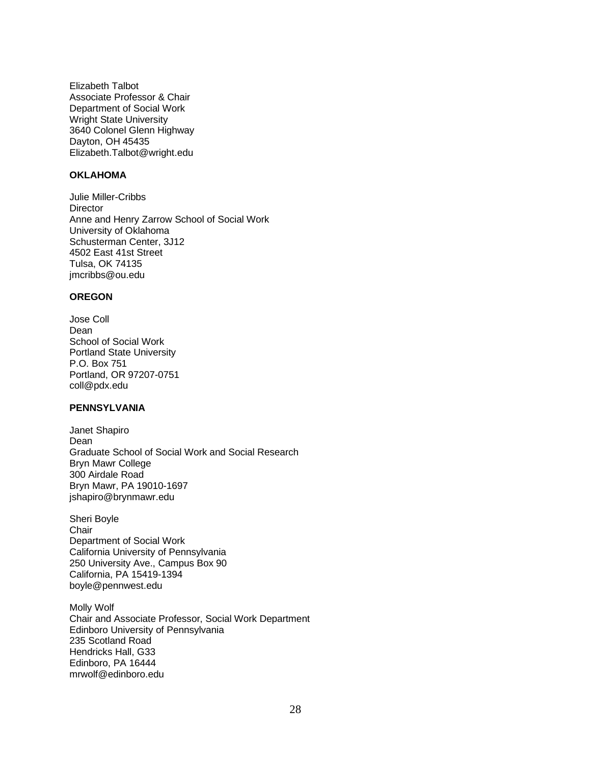Elizabeth Talbot Associate Professor & Chair Department of Social Work Wright State University 3640 Colonel Glenn Highway Dayton, OH 45435 Elizabeth.Talbot@wright.edu

## **OKLAHOMA**

Julie Miller-Cribbs **Director** Anne and Henry Zarrow School of Social Work University of Oklahoma Schusterman Center, 3J12 4502 East 41st Street Tulsa, OK 74135 jmcribbs@ou.edu

## **OREGON**

Jose Coll Dean School of Social Work Portland State University P.O. Box 751 Portland, OR 97207-0751 coll@pdx.edu

## **PENNSYLVANIA**

Janet Shapiro Dean Graduate School of Social Work and Social Research Bryn Mawr College 300 Airdale Road Bryn Mawr, PA 19010-1697 jshapiro@brynmawr.edu

Sheri Boyle **Chair** Department of Social Work California University of Pennsylvania 250 University Ave., Campus Box 90 California, PA 15419-1394 boyle@pennwest.edu

Molly Wolf Chair and Associate Professor, Social Work Department Edinboro University of Pennsylvania 235 Scotland Road Hendricks Hall, G33 Edinboro, PA 16444 mrwolf@edinboro.edu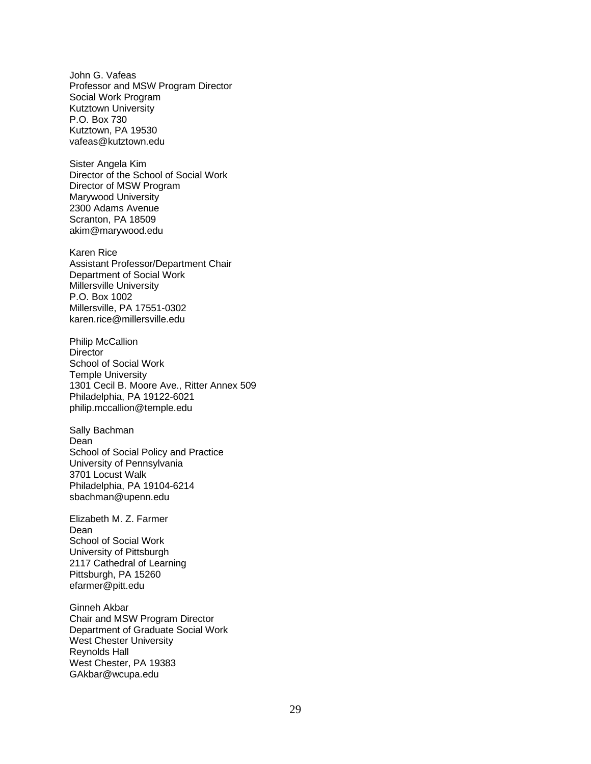John G. Vafeas Professor and MSW Program Director Social Work Program Kutztown University P.O. Box 730 Kutztown, PA 19530 vafeas@kutztown.edu

Sister Angela Kim Director of the School of Social Work Director of MSW Program Marywood University 2300 Adams Avenue Scranton, PA 18509 akim@marywood.edu

Karen Rice Assistant Professor/Department Chair Department of Social Work Millersville University P.O. Box 1002 Millersville, PA 17551-0302 karen.rice@millersville.edu

Philip McCallion **Director** School of Social Work Temple University 1301 Cecil B. Moore Ave., Ritter Annex 509 Philadelphia, PA 19122-6021 philip.mccallion@temple.edu

Sally Bachman Dean School of Social Policy and Practice University of Pennsylvania 3701 Locust Walk Philadelphia, PA 19104-6214 sbachman@upenn.edu

Elizabeth M. Z. Farmer Dean School of Social Work University of Pittsburgh 2117 Cathedral of Learning Pittsburgh, PA 15260 efarmer@pitt.edu

Ginneh Akbar Chair and MSW Program Director Department of Graduate Social Work West Chester University Reynolds Hall West Chester, PA 19383 GAkbar@wcupa.edu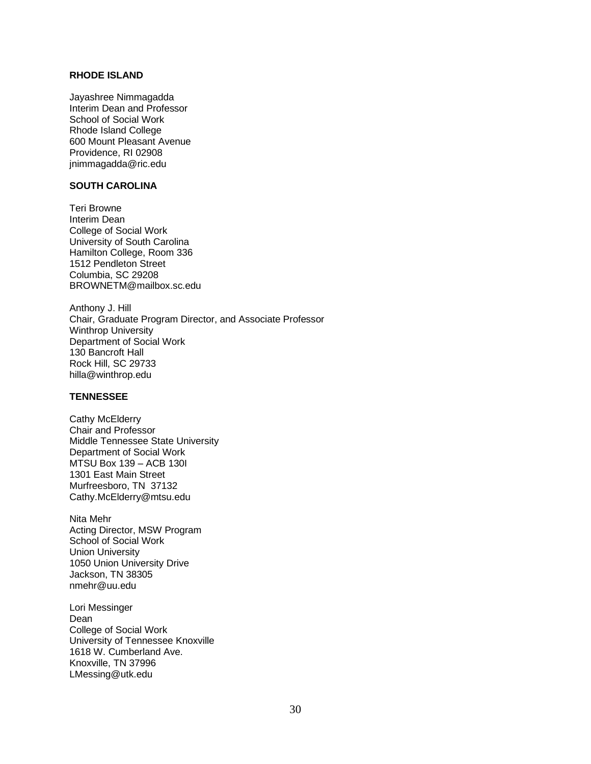## **RHODE ISLAND**

Jayashree Nimmagadda Interim Dean and Professor School of Social Work Rhode Island College 600 Mount Pleasant Avenue Providence, RI 02908 jnimmagadda@ric.edu

## **SOUTH CAROLINA**

Teri Browne Interim Dean College of Social Work University of South Carolina Hamilton College, Room 336 1512 Pendleton Street Columbia, SC 29208 BROWNETM@mailbox.sc.edu

Anthony J. Hill Chair, Graduate Program Director, and Associate Professor Winthrop University Department of Social Work 130 Bancroft Hall Rock Hill, SC 29733 hilla@winthrop.edu

#### **TENNESSEE**

Cathy McElderry Chair and Professor Middle Tennessee State University Department of Social Work MTSU Box 139 – ACB 130I 1301 East Main Street Murfreesboro, TN 37132 Cathy.McElderry@mtsu.edu

Nita Mehr Acting Director, MSW Program School of Social Work Union University 1050 Union University Drive Jackson, TN 38305 nmehr@uu.edu

Lori Messinger Dean College of Social Work University of Tennessee Knoxville 1618 W. Cumberland Ave. Knoxville, TN 37996 LMessing@utk.edu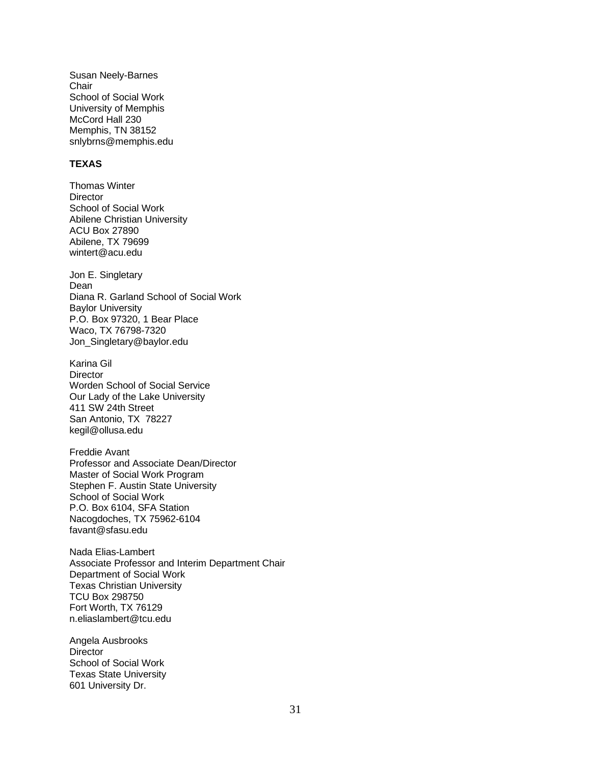Susan Neely-Barnes **Chair** School of Social Work University of Memphis McCord Hall 230 Memphis, TN 38152 snlybrns@memphis.edu

## **TEXAS**

Thomas Winter **Director** School of Social Work Abilene Christian University ACU Box 27890 Abilene, TX 79699 wintert@acu.edu

Jon E. Singletary Dean Diana R. Garland School of Social Work Baylor University P.O. Box 97320, 1 Bear Place Waco, TX 76798-7320 Jon\_Singletary@baylor.edu

Karina Gil **Director** Worden School of Social Service Our Lady of the Lake University 411 SW 24th Street San Antonio, TX 78227 kegil@ollusa.edu

Freddie Avant Professor and Associate Dean/Director Master of Social Work Program Stephen F. Austin State University School of Social Work P.O. Box 6104, SFA Station Nacogdoches, TX 75962-6104 favant@sfasu.edu

Nada Elias-Lambert Associate Professor and Interim Department Chair Department of Social Work Texas Christian University TCU Box 298750 Fort Worth, TX 76129 n.eliaslambert@tcu.edu

Angela Ausbrooks **Director** School of Social Work Texas State University 601 University Dr.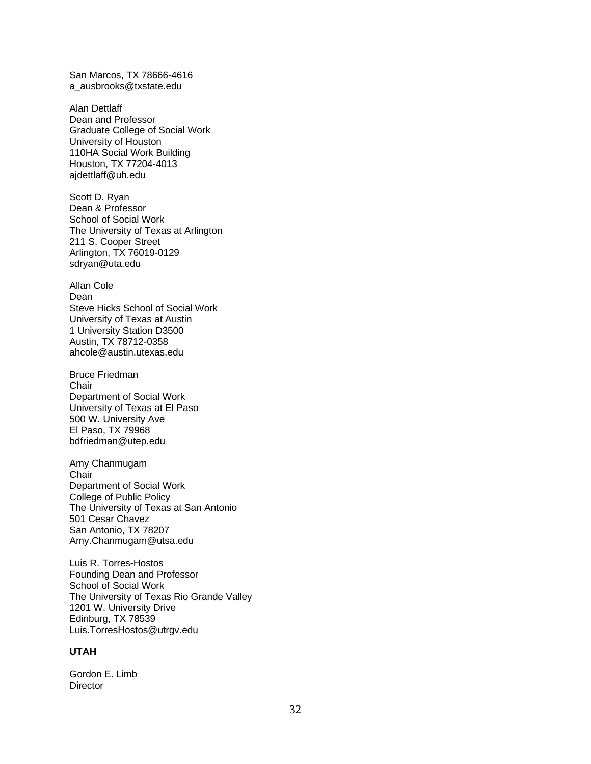San Marcos, TX 78666-4616 a\_ausbrooks@txstate.edu

Alan Dettlaff Dean and Professor Graduate College of Social Work University of Houston 110HA Social Work Building Houston, TX 77204-4013 ajdettlaff@uh.edu

Scott D. Ryan Dean & Professor School of Social Work The University of Texas at Arlington 211 S. Cooper Street Arlington, TX 76019-0129 sdryan@uta.edu

Allan Cole Dean Steve Hicks School of Social Work University of Texas at Austin 1 University Station D3500 Austin, TX 78712-0358 ahcole@austin.utexas.edu

Bruce Friedman **Chair** Department of Social Work University of Texas at El Paso 500 W. University Ave El Paso, TX 79968 bdfriedman@utep.edu

Amy Chanmugam **Chair** Department of Social Work College of Public Policy The University of Texas at San Antonio 501 Cesar Chavez San Antonio, TX 78207 Amy.Chanmugam@utsa.edu

Luis R. Torres-Hostos Founding Dean and Professor School of Social Work The University of Texas Rio Grande Valley 1201 W. University Drive Edinburg, TX 78539 Luis.TorresHostos@utrgv.edu

## **UTAH**

Gordon E. Limb **Director**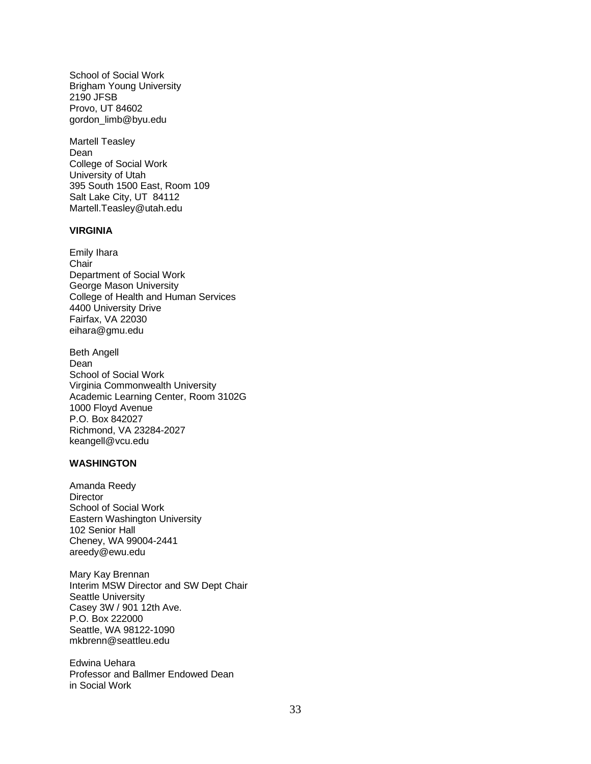School of Social Work Brigham Young University 2190 JFSB Provo, UT 84602 gordon\_limb@byu.edu

Martell Teasley Dean College of Social Work University of Utah 395 South 1500 East, Room 109 Salt Lake City, UT 84112 Martell.Teasley@utah.edu

## **VIRGINIA**

Emily Ihara **Chair** Department of Social Work George Mason University College of Health and Human Services 4400 University Drive Fairfax, VA 22030 eihara@gmu.edu

Beth Angell Dean School of Social Work Virginia Commonwealth University Academic Learning Center, Room 3102G 1000 Floyd Avenue P.O. Box 842027 Richmond, VA 23284-2027 keangell@vcu.edu

#### **WASHINGTON**

Amanda Reedy **Director** School of Social Work Eastern Washington University 102 Senior Hall Cheney, WA 99004-2441 areedy@ewu.edu

Mary Kay Brennan Interim MSW Director and SW Dept Chair Seattle University Casey 3W / 901 12th Ave. P.O. Box 222000 Seattle, WA 98122-1090 mkbrenn@seattleu.edu

Edwina Uehara Professor and Ballmer Endowed Dean in Social Work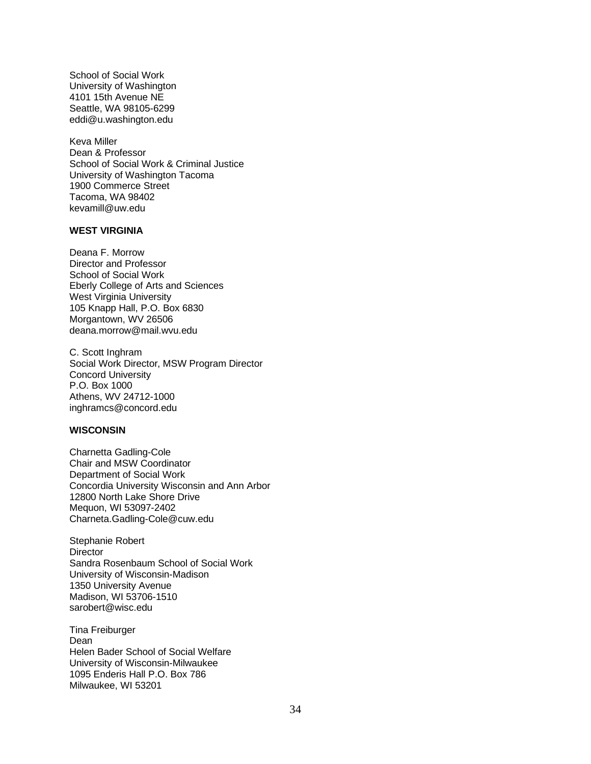School of Social Work University of Washington 4101 15th Avenue NE Seattle, WA 98105-6299 eddi@u.washington.edu

Keva Miller Dean & Professor School of Social Work & Criminal Justice University of Washington Tacoma 1900 Commerce Street Tacoma, WA 98402 kevamill@uw.edu

## **WEST VIRGINIA**

Deana F. Morrow Director and Professor School of Social Work Eberly College of Arts and Sciences West Virginia University 105 Knapp Hall, P.O. Box 6830 Morgantown, WV 26506 deana.morrow@mail.wvu.edu

C. Scott Inghram Social Work Director, MSW Program Director Concord University P.O. Box 1000 Athens, WV 24712-1000 inghramcs@concord.edu

## **WISCONSIN**

Charnetta Gadling-Cole Chair and MSW Coordinator Department of Social Work Concordia University Wisconsin and Ann Arbor 12800 North Lake Shore Drive Mequon, WI 53097-2402 Charneta.Gadling-Cole@cuw.edu

Stephanie Robert **Director** Sandra Rosenbaum School of Social Work University of Wisconsin-Madison 1350 University Avenue Madison, WI 53706-1510 sarobert@wisc.edu

Tina Freiburger Dean Helen Bader School of Social Welfare University of Wisconsin-Milwaukee 1095 Enderis Hall P.O. Box 786 Milwaukee, WI 53201